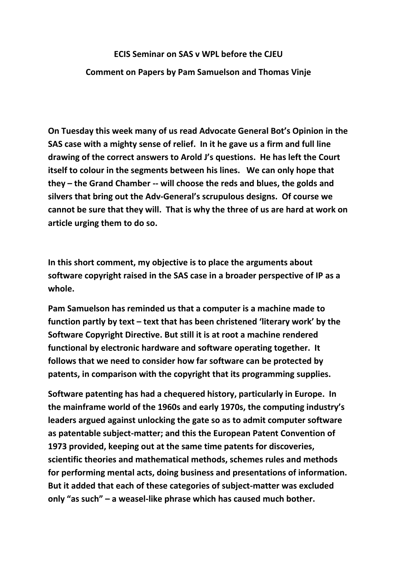## **ECIS Seminar on SAS v WPL before the CJEU**

## **Comment on Papers by Pam Samuelson and Thomas Vinje**

**On Tuesday this week many of us read Advocate General Bot's Opinion in the SAS case with a mighty sense of relief. In it he gave us a firm and full line drawing of the correct answers to Arold J's questions. He has left the Court itself to colour in the segments between his lines. We can only hope that they – the Grand Chamber -- will choose the reds and blues, the golds and silvers that bring out the Adv-General's scrupulous designs. Of course we cannot be sure that they will. That is why the three of us are hard at work on article urging them to do so.**

**In this short comment, my objective is to place the arguments about software copyright raised in the SAS case in a broader perspective of IP as a whole.**

**Pam Samuelson has reminded us that a computer is a machine made to function partly by text – text that has been christened 'literary work' by the Software Copyright Directive. But still it is at root a machine rendered functional by electronic hardware and software operating together. It follows that we need to consider how far software can be protected by patents, in comparison with the copyright that its programming supplies.**

**Software patenting has had a chequered history, particularly in Europe. In the mainframe world of the 1960s and early 1970s, the computing industry's leaders argued against unlocking the gate so as to admit computer software as patentable subject-matter; and this the European Patent Convention of 1973 provided, keeping out at the same time patents for discoveries, scientific theories and mathematical methods, schemes rules and methods for performing mental acts, doing business and presentations of information. But it added that each of these categories of subject-matter was excluded only "as such" – a weasel-like phrase which has caused much bother.**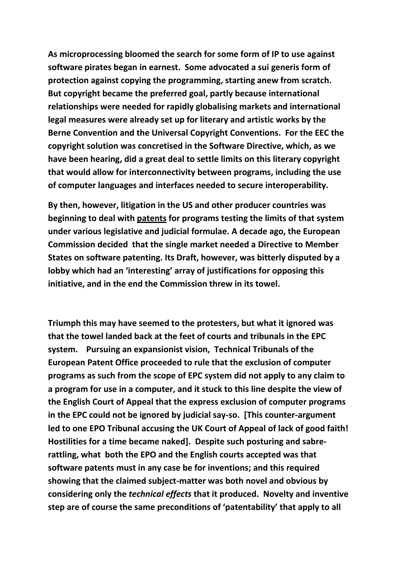**As microprocessing bloomed the search for some form of IP to use against software pirates began in earnest. Some advocated a sui generis form of protection against copying the programming, starting anew from scratch. But copyright became the preferred goal, partly because international relationships were needed for rapidly globalising markets and international legal measures were already set up for literary and artistic works by the Berne Convention and the Universal Copyright Conventions. For the EEC the copyright solution was concretised in the Software Directive, which, as we have been hearing, did a great deal to settle limits on this literary copyright that would allow for interconnectivity between programs, including the use of computer languages and interfaces needed to secure interoperability.**

**By then, however, litigation in the US and other producer countries was beginning to deal with patents for programs testing the limits of that system under various legislative and judicial formulae. A decade ago, the European Commission decided that the single market needed a Directive to Member States on software patenting. Its Draft, however, was bitterly disputed by a lobby which had an 'interesting' array of justifications for opposing this initiative, and in the end the Commission threw in its towel.** 

**Triumph this may have seemed to the protesters, but what it ignored was that the towel landed back at the feet of courts and tribunals in the EPC system. Pursuing an expansionist vision, Technical Tribunals of the European Patent Office proceeded to rule that the exclusion of computer programs as such from the scope of EPC system did not apply to any claim to a program for use in a computer, and it stuck to this line despite the view of the English Court of Appeal that the express exclusion of computer programs in the EPC could not be ignored by judicial say-so. [This counter-argument led to one EPO Tribunal accusing the UK Court of Appeal of lack of good faith! Hostilities for a time became naked]. Despite such posturing and sabrerattling, what both the EPO and the English courts accepted was that software patents must in any case be for inventions; and this required showing that the claimed subject-matter was both novel and obvious by considering only the** *technical effects* **that it produced. Novelty and inventive step are of course the same preconditions of 'patentability' that apply to all**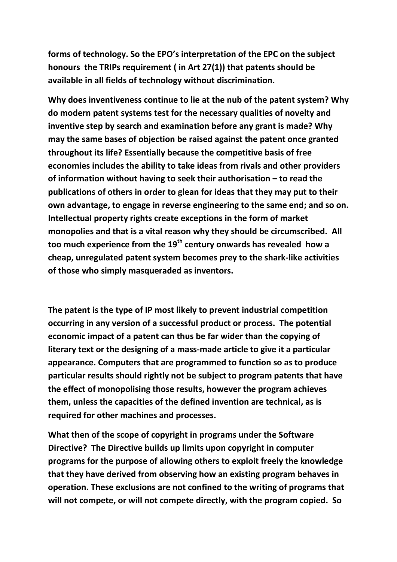**forms of technology. So the EPO's interpretation of the EPC on the subject honours the TRIPs requirement ( in Art 27(1)) that patents should be available in all fields of technology without discrimination.**

**Why does inventiveness continue to lie at the nub of the patent system? Why do modern patent systems test for the necessary qualities of novelty and inventive step by search and examination before any grant is made? Why may the same bases of objection be raised against the patent once granted throughout its life? Essentially because the competitive basis of free economies includes the ability to take ideas from rivals and other providers of information without having to seek their authorisation – to read the publications of others in order to glean for ideas that they may put to their own advantage, to engage in reverse engineering to the same end; and so on. Intellectual property rights create exceptions in the form of market monopolies and that is a vital reason why they should be circumscribed. All too much experience from the 19th century onwards has revealed how a cheap, unregulated patent system becomes prey to the shark-like activities of those who simply masqueraded as inventors.** 

**The patent is the type of IP most likely to prevent industrial competition occurring in any version of a successful product or process. The potential economic impact of a patent can thus be far wider than the copying of literary text or the designing of a mass-made article to give it a particular appearance. Computers that are programmed to function so as to produce particular results should rightly not be subject to program patents that have the effect of monopolising those results, however the program achieves them, unless the capacities of the defined invention are technical, as is required for other machines and processes.** 

**What then of the scope of copyright in programs under the Software Directive? The Directive builds up limits upon copyright in computer programs for the purpose of allowing others to exploit freely the knowledge that they have derived from observing how an existing program behaves in operation. These exclusions are not confined to the writing of programs that will not compete, or will not compete directly, with the program copied. So**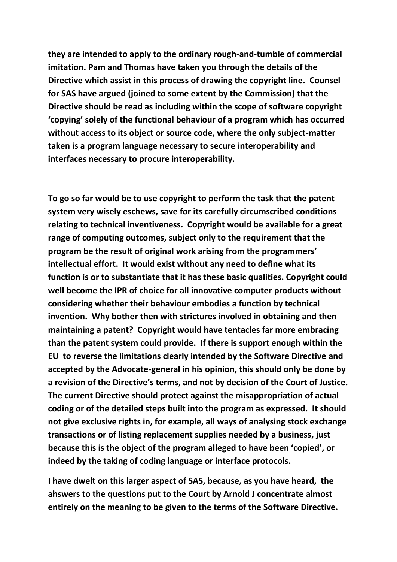**they are intended to apply to the ordinary rough-and-tumble of commercial imitation. Pam and Thomas have taken you through the details of the Directive which assist in this process of drawing the copyright line. Counsel for SAS have argued (joined to some extent by the Commission) that the Directive should be read as including within the scope of software copyright 'copying' solely of the functional behaviour of a program which has occurred without access to its object or source code, where the only subject-matter taken is a program language necessary to secure interoperability and interfaces necessary to procure interoperability.** 

**To go so far would be to use copyright to perform the task that the patent system very wisely eschews, save for its carefully circumscribed conditions relating to technical inventiveness. Copyright would be available for a great range of computing outcomes, subject only to the requirement that the program be the result of original work arising from the programmers' intellectual effort. It would exist without any need to define what its function is or to substantiate that it has these basic qualities. Copyright could well become the IPR of choice for all innovative computer products without considering whether their behaviour embodies a function by technical invention. Why bother then with strictures involved in obtaining and then maintaining a patent? Copyright would have tentacles far more embracing than the patent system could provide. If there is support enough within the EU to reverse the limitations clearly intended by the Software Directive and accepted by the Advocate-general in his opinion, this should only be done by a revision of the Directive's terms, and not by decision of the Court of Justice. The current Directive should protect against the misappropriation of actual coding or of the detailed steps built into the program as expressed. It should not give exclusive rights in, for example, all ways of analysing stock exchange transactions or of listing replacement supplies needed by a business, just because this is the object of the program alleged to have been 'copied', or indeed by the taking of coding language or interface protocols.**

**I have dwelt on this larger aspect of SAS, because, as you have heard, the ahswers to the questions put to the Court by Arnold J concentrate almost entirely on the meaning to be given to the terms of the Software Directive.**